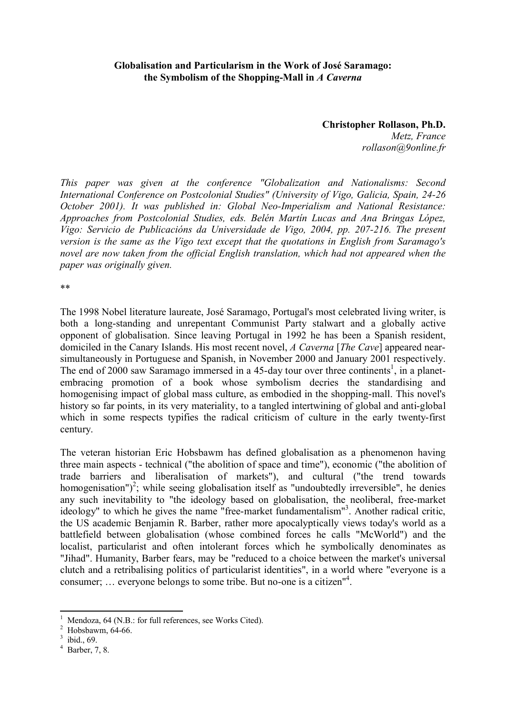## **Globalisation and Particularism in the Work of José Saramago: the Symbolism of the Shopping-Mall in** *A Caverna*

**Christopher Rollason, Ph.D.** *Metz, France rollason@9online.fr*

*This paper was given at the conference "Globalization and Nationalisms: Second International Conference on Postcolonial Studies" (University of Vigo, Galicia, Spain, 24-26 October 2001). It was published in: Global Neo-Imperialism and National Resistance: Approaches from Postcolonial Studies, eds. Belén Martín Lucas and Ana Bringas López, Vigo: Servicio de Publicacións da Universidade de Vigo, 2004, pp. 207-216. The present version is the same as the Vigo text except that the quotations in English from Saramago's novel are now taken from the official English translation, which had not appeared when the paper was originally given.*

\*\*

The 1998 Nobel literature laureate, José Saramago, Portugal's most celebrated living writer, is both a long-standing and unrepentant Communist Party stalwart and a globally active opponent of globalisation. Since leaving Portugal in 1992 he has been a Spanish resident, domiciled in the Canary Islands. His most recent novel, *A Caverna* [*The Cave*] appeared nearsimultaneously in Portuguese and Spanish, in November 2000 and January 2001 respectively. The end of 2000 saw Saramago immersed in a 45-day tour over three continents<sup>1</sup>, in a planetembracing promotion of a book whose symbolism decries the standardising and homogenising impact of global mass culture, as embodied in the shopping-mall. This novel's history so far points, in its very materiality, to a tangled intertwining of global and anti-global which in some respects typifies the radical criticism of culture in the early twenty-first century.

The veteran historian Eric Hobsbawm has defined globalisation as a phenomenon having three main aspects - technical ("the abolition of space and time"), economic ("the abolition of trade barriers and liberalisation of markets"), and cultural ("the trend towards homogenisation")<sup>2</sup>; while seeing globalisation itself as "undoubtedly irreversible", he denies any such inevitability to "the ideology based on globalisation, the neoliberal, free-market ideology" to which he gives the name "free-market fundamentalism"<sup>3</sup>. Another radical critic, the US academic Benjamin R. Barber, rather more apocalyptically views today's world as a battlefield between globalisation (whose combined forces he calls "McWorld") and the localist, particularist and often intolerant forces which he symbolically denominates as "Jihad". Humanity, Barber fears, may be "reduced to a choice between the market's universal clutch and a retribalising politics of particularist identities", in a world where "everyone is a consumer; … everyone belongs to some tribe. But no-one is a citizen"<sup>4</sup> .

Mendoza, 64 (N.B.: for full references, see Works Cited).

 $^{2}$  Hobsbawm, 64-66.

ibid., 69.

Barber, 7, 8.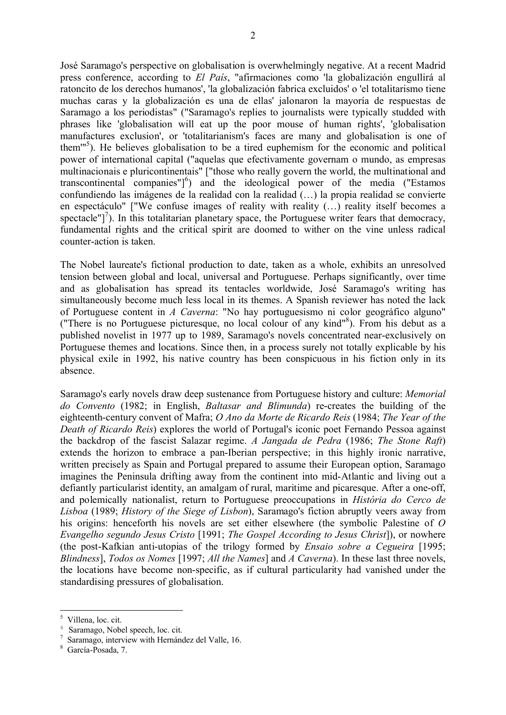José Saramago's perspective on globalisation is overwhelmingly negative. At a recent Madrid press conference, according to *El País*, "afirmaciones como 'la globalización engullirá al ratoncito de los derechos humanos', 'la globalización fabrica excluidos' o 'el totalitarismo tiene muchas caras y la globalización es una de ellas' jalonaron la mayoría de respuestas de Saramago a los periodistas" ("Saramago's replies to journalists were typically studded with phrases like 'globalisation will eat up the poor mouse of human rights', 'globalisation manufactures exclusion', or 'totalitarianism's faces are many and globalisation is one of them'"<sup>5</sup> ). He believes globalisation to be a tired euphemism for the economic and political power of international capital ("aquelas que efectivamente governam o mundo, as empresas multinacionais e pluricontinentais" ["those who really govern the world, the multinational and transcontinental companies" $j^6$ ) and the ideological power of the media ("Estamos confundiendo las imágenes de la realidad con la realidad (…) la propia realidad se convierte en espectáculo" ["We confuse images of reality with reality (…) reality itself becomes a spectacle"]<sup>7</sup>). In this totalitarian planetary space, the Portuguese writer fears that democracy, fundamental rights and the critical spirit are doomed to wither on the vine unless radical counter-action is taken.

The Nobel laureate's fictional production to date, taken as a whole, exhibits an unresolved tension between global and local, universal and Portuguese. Perhaps significantly, over time and as globalisation has spread its tentacles worldwide, José Saramago's writing has simultaneously become much less local in its themes. A Spanish reviewer has noted the lack of Portuguese content in *A Caverna*: "No hay portuguesismo ni color geográfico alguno" ("There is no Portuguese picturesque, no local colour of any kind"<sup>8</sup> ). From his debut as a published novelist in 1977 up to 1989, Saramago's novels concentrated near-exclusively on Portuguese themes and locations. Since then, in a process surely not totally explicable by his physical exile in 1992, his native country has been conspicuous in his fiction only in its absence.

Saramago's early novels draw deep sustenance from Portuguese history and culture: *Memorial do Convento* (1982; in English, *Baltasar and Blimunda*) re-creates the building of the eighteenth-century convent of Mafra; *O Ano da Morte de Ricardo Reis* (1984; *The Year of the Death of Ricardo Reis*) explores the world of Portugal's iconic poet Fernando Pessoa against the backdrop of the fascist Salazar regime. *A Jangada de Pedra* (1986; *The Stone Raft*) extends the horizon to embrace a pan-Iberian perspective; in this highly ironic narrative, written precisely as Spain and Portugal prepared to assume their European option, Saramago imagines the Peninsula drifting away from the continent into mid-Atlantic and living out a defiantly particularist identity, an amalgam of rural, maritime and picaresque. After a one-off, and polemically nationalist, return to Portuguese preoccupations in *História do Cerco de Lisboa* (1989; *History of the Siege of Lisbon*), Saramago's fiction abruptly veers away from his origins: henceforth his novels are set either elsewhere (the symbolic Palestine of *O Evangelho segundo Jesus Cristo* [1991; *The Gospel According to Jesus Christ*]), or nowhere (the post-Kafkian anti-utopias of the trilogy formed by *Ensaio sobre a Cegueira* [1995; *Blindness*], *Todos os Nomes* [1997; *All the Names*] and *A Caverna*). In these last three novels, the locations have become non-specific, as if cultural particularity had vanished under the standardising pressures of globalisation.

<sup>5</sup> Villena, loc. cit.

<sup>&</sup>lt;sup>6</sup> Saramago, Nobel speech, loc. cit.

<sup>7</sup> Saramago, interview with Hernández del Valle, 16.

García-Posada, 7.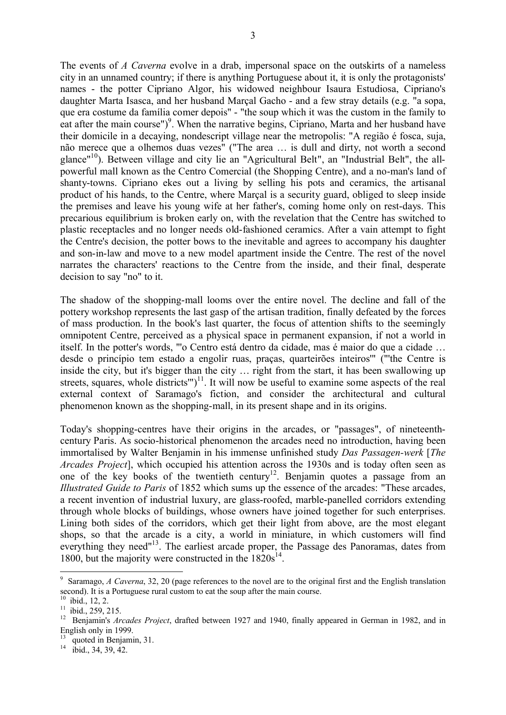The events of *A Caverna* evolve in a drab, impersonal space on the outskirts of a nameless city in an unnamed country; if there is anything Portuguese about it, it is only the protagonists' names - the potter Cipriano Algor, his widowed neighbour Isaura Estudiosa, Cipriano's daughter Marta Isasca, and her husband Marçal Gacho - and a few stray details (e.g. "a sopa, que era costume da família comer depois" - "the soup which it was the custom in the family to eat after the main course")<sup>9</sup>. When the narrative begins, Cipriano, Marta and her husband have their domicile in a decaying, nondescript village near the metropolis: "A região é fosca, suja, não merece que a olhemos duas vezes" ("The area … is dull and dirty, not worth a second glance"<sup>10</sup>). Between village and city lie an "Agricultural Belt", an "Industrial Belt", the allpowerful mall known as the Centro Comercial (the Shopping Centre), and a no-man's land of shanty-towns. Cipriano ekes out a living by selling his pots and ceramics, the artisanal product of his hands, to the Centre, where Marçal is a security guard, obliged to sleep inside the premises and leave his young wife at her father's, coming home only on rest-days. This precarious equilibrium is broken early on, with the revelation that the Centre has switched to plastic receptacles and no longer needs old-fashioned ceramics. After a vain attempt to fight the Centre's decision, the potter bows to the inevitable and agrees to accompany his daughter and son-in-law and move to a new model apartment inside the Centre. The rest of the novel narrates the characters' reactions to the Centre from the inside, and their final, desperate decision to say "no" to it.

The shadow of the shopping-mall looms over the entire novel. The decline and fall of the pottery workshop represents the last gasp of the artisan tradition, finally defeated by the forces of mass production. In the book's last quarter, the focus of attention shifts to the seemingly omnipotent Centre, perceived as a physical space in permanent expansion, if not a world in itself. In the potter's words, "'o Centro está dentro da cidade, mas é maior do que a cidade … desde o princípio tem estado a engolir ruas, praças, quarteirões inteiros'" ("'the Centre is inside the city, but it's bigger than the city … right from the start, it has been swallowing up streets, squares, whole districts" $)^{11}$ . It will now be useful to examine some aspects of the real external context of Saramago's fiction, and consider the architectural and cultural phenomenon known as the shopping-mall, in its present shape and in its origins.

Today's shopping-centres have their origins in the arcades, or "passages", of nineteenthcentury Paris. As socio-historical phenomenon the arcades need no introduction, having been immortalised by Walter Benjamin in his immense unfinished study *Das Passagen-werk* [*The Arcades Project*], which occupied his attention across the 1930s and is today often seen as one of the key books of the twentieth century<sup>12</sup>. Benjamin quotes a passage from an *Illustrated Guide to Paris* of 1852 which sums up the essence of the arcades: "These arcades, a recent invention of industrial luxury, are glass-roofed, marble-panelled corridors extending through whole blocks of buildings, whose owners have joined together for such enterprises. Lining both sides of the corridors, which get their light from above, are the most elegant shops, so that the arcade is a city, a world in miniature, in which customers will find everything they need"<sup>13</sup>. The earliest arcade proper, the Passage des Panoramas, dates from 1800, but the majority were constructed in the  $1820s^{14}$ .

<sup>9</sup> Saramago, *A Caverna*, 32, 20 (page references to the novel are to the original first and the English translation second). It is a Portuguese rural custom to eat the soup after the main course.

 $10$  ibid., 12, 2.

<sup>&</sup>lt;sup>11</sup> ibid., 259, 215.

<sup>&</sup>lt;sup>12</sup> Benjamin's *Arcades Project*, drafted between 1927 and 1940, finally appeared in German in 1982, and in English only in 1999.

<sup>&</sup>lt;sup>13</sup> quoted in Benjamin, 31.

 $14$  ibid., 34, 39, 42.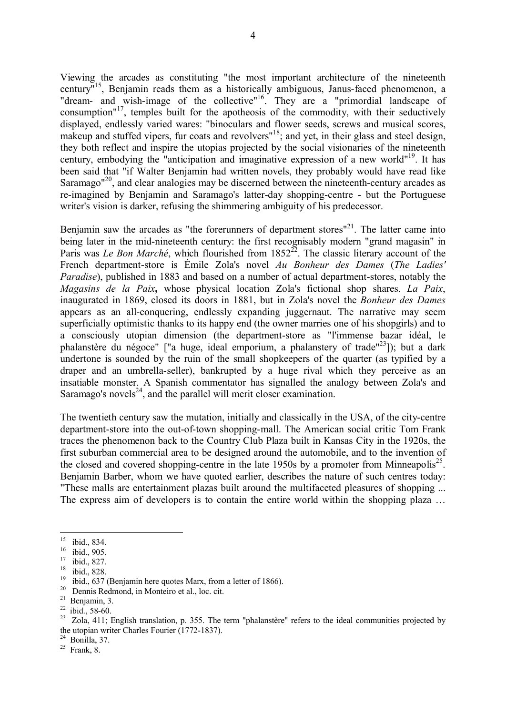Viewing the arcades as constituting "the most important architecture of the nineteenth century" <sup>15</sup>, Benjamin reads them as a historically ambiguous, Janus-faced phenomenon, a "dream- and wish-image of the collective"<sup>16</sup>. They are a "primordial landscape of consumption"<sup>17</sup>, temples built for the apotheosis of the commodity, with their seductively displayed, endlessly varied wares: "binoculars and flower seeds, screws and musical scores, makeup and stuffed vipers, fur coats and revolvers"<sup>18</sup>; and yet, in their glass and steel design, they both reflect and inspire the utopias projected by the social visionaries of the nineteenth century, embodying the "anticipation and imaginative expression of a new world"<sup>19</sup>. It has been said that "if Walter Benjamin had written novels, they probably would have read like Saramago<sup> $n^{20}$ </sup>, and clear analogies may be discerned between the nineteenth-century arcades as re-imagined by Benjamin and Saramago's latter-day shopping-centre - but the Portuguese writer's vision is darker, refusing the shimmering ambiguity of his predecessor.

Benjamin saw the arcades as "the forerunners of department stores"<sup>21</sup>. The latter came into being later in the mid-nineteenth century: the first recognisably modern "grand magasin" in Paris was *Le Bon Marché*, which flourished from 1852<sup>22</sup>. The classic literary account of the French department-store is Émile Zola's novel *Au Bonheur des Dames* (*The Ladies' Paradise*), published in 1883 and based on a number of actual department-stores, notably the *Magasins de la Paix***,** whose physical location Zola's fictional shop shares. *La Paix*, inaugurated in 1869, closed its doors in 1881, but in Zola's novel the *Bonheur des Dames* appears as an all-conquering, endlessly expanding juggernaut. The narrative may seem superficially optimistic thanks to its happy end (the owner marries one of his shopgirls) and to a consciously utopian dimension (the department-store as "l'immense bazar idéal, le phalanstère du négoce" ["a huge, ideal emporium, a phalanstery of trade"<sup>23</sup>]); but a dark undertone is sounded by the ruin of the small shopkeepers of the quarter (as typified by a draper and an umbrella-seller), bankrupted by a huge rival which they perceive as an insatiable monster. A Spanish commentator has signalled the analogy between Zola's and Saramago's novels $^{24}$ , and the parallel will merit closer examination.

The twentieth century saw the mutation, initially and classically in the USA, of the city-centre department-store into the out-of-town shopping-mall. The American social critic Tom Frank traces the phenomenon back to the Country Club Plaza built in Kansas City in the 1920s, the first suburban commercial area to be designed around the automobile, and to the invention of the closed and covered shopping-centre in the late 1950s by a promoter from Minneapolis<sup>25</sup>. Benjamin Barber, whom we have quoted earlier, describes the nature of such centres today: "These malls are entertainment plazas built around the multifaceted pleasures of shopping ... The express aim of developers is to contain the entire world within the shopping plaza …

 $\frac{15}{16}$  ibid., 834.

 $\frac{16}{17}$  ibid., 905.

ibid., 827.

 $\frac{18}{19}$  ibid., 828.

ibid., 637 (Benjamin here quotes Marx, from a letter of 1866).

<sup>20</sup> Dennis Redmond, in Monteiro et al., loc. cit.

 $21$  Benjamin, 3.

 $22$  ibid., 58-60.

<sup>&</sup>lt;sup>23</sup> Zola, 411; English translation, p. 355. The term "phalanstère" refers to the ideal communities projected by the utopian writer Charles Fourier (1772-1837).

 $24$  Bonilla, 37.

 $25$  Frank, 8.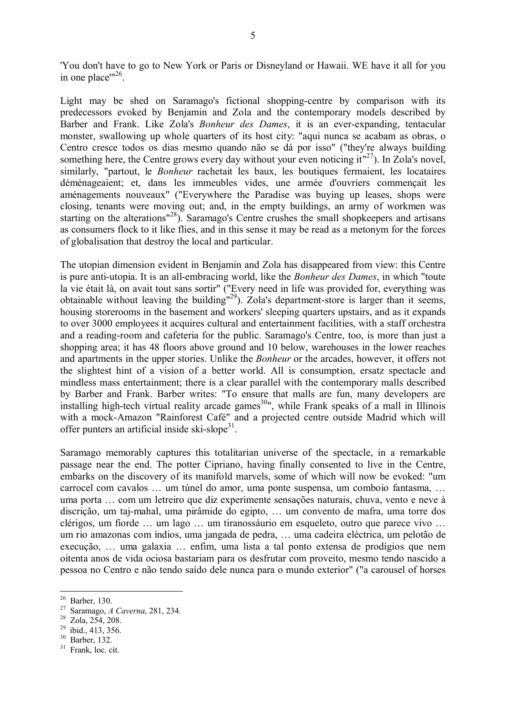'You don't have to go to New York or Paris or Disneyland or Hawaii. WE have it all for you in one place" $^{26}$ .

Light may be shed on Saramago's fictional shopping-centre by comparison with its predecessors evoked by Benjamin and Zola and the contemporary models described by Barber and Frank. Like Zola's *Bonheur des Dames*, it is an ever-expanding, tentacular monster, swallowing up whole quarters of its host city: "aqui nunca se acabam as obras, o Centro cresce todos os dias mesmo quando não se dá por isso" ("they're always building something here, the Centre grows every day without your even noticing  $it''^{27}$ ). In Zola's novel, similarly, "partout, le *Bonheur* rachetait les baux, les boutiques fermaient, les locataires déménageaient; et, dans les immeubles vides, une armée d'ouvriers commençait les aménagements nouveaux" ("Everywhere the Paradise was buying up leases, shops were closing, tenants were moving out; and, in the empty buildings, an army of workmen was starting on the alterations<sup>"28</sup>). Saramago's Centre crushes the small shopkeepers and artisans as consumers flock to it like flies, and in this sense it may be read as a metonym for the forces of globalisation that destroy the local and particular.

The utopian dimension evident in Benjamin and Zola has disappeared from view: this Centre is pure anti-utopia. It is an all-embracing world, like the *Bonheur des Dames*, in which "toute la vie était là, on avait tout sans sortir" ("Every need in life was provided for, everything was obtainable without leaving the building"<sup>29</sup>). Zola's department-store is larger than it seems, housing storerooms in the basement and workers' sleeping quarters upstairs, and as it expands to over 3000 employees it acquires cultural and entertainment facilities, with a staff orchestra and a reading-room and cafeteria for the public. Saramago's Centre, too, is more than just a shopping area; it has 48 floors above ground and 10 below, warehouses in the lower reaches and apartments in the upper stories. Unlike the *Bonheur* or the arcades, however, it offers not the slightest hint of a vision of a better world. All is consumption, ersatz spectacle and mindless mass entertainment; there is a clear parallel with the contemporary malls described by Barber and Frank. Barber writes: "To ensure that malls are fun, many developers are installing high-tech virtual reality arcade games<sup>30</sup>", while Frank speaks of a mall in Illinois with a mock-Amazon "Rainforest Café" and a projected centre outside Madrid which will offer punters an artificial inside ski-slope<sup>31</sup>.

Saramago memorably captures this totalitarian universe of the spectacle, in a remarkable passage near the end. The potter Cipriano, having finally consented to live in the Centre, embarks on the discovery of its manifold marvels, some of which will now be evoked: "um carrocel com cavalos … um túnel do amor, uma ponte suspensa, um comboio fantasma, … uma porta … com um letreiro que diz experimente sensações naturais, chuva, vento e neve à discrição, um taj-mahal, uma pirâmide do egipto, … um convento de mafra, uma torre dos clérigos, um fiorde … um lago … um tiranossáurio em esqueleto, outro que parece vivo … um rio amazonas com índios, uma jangada de pedra, … uma cadeira eléctrica, um pelotão de execução, … uma galaxia … enfim, uma lista a tal ponto extensa de prodígios que nem oitenta anos de vida ociosa bastariam para os desfrutar com proveito, mesmo tendo nascido a pessoa no Centro e não tendo saído dele nunca para o mundo exterior" ("a carousel of horses

<sup>26</sup> Barber, 130.

<sup>27</sup> Saramago, *A Caverna*, 281, 234.

 $\frac{28}{29}$  Zola,  $2\overline{54}$ , 208.

ibid., 413, 356.

<sup>30</sup> Barber, 132.

<sup>&</sup>lt;sup>31</sup> Frank, loc. cit.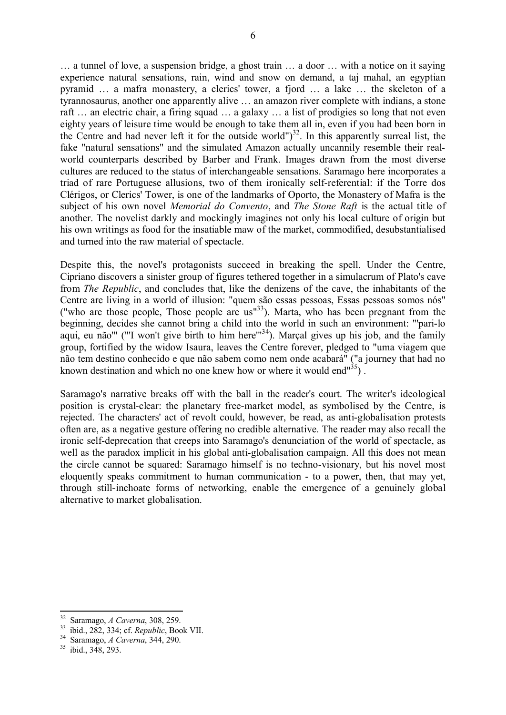… a tunnel of love, a suspension bridge, a ghost train … a door … with a notice on it saying experience natural sensations, rain, wind and snow on demand, a taj mahal, an egyptian pyramid … a mafra monastery, a clerics' tower, a fjord … a lake … the skeleton of a tyrannosaurus, another one apparently alive … an amazon river complete with indians, a stone raft … an electric chair, a firing squad … a galaxy … a list of prodigies so long that not even eighty years of leisure time would be enough to take them all in, even if you had been born in the Centre and had never left it for the outside world")<sup>32</sup>. In this apparently surreal list, the fake "natural sensations" and the simulated Amazon actually uncannily resemble their realworld counterparts described by Barber and Frank. Images drawn from the most diverse cultures are reduced to the status of interchangeable sensations. Saramago here incorporates a triad of rare Portuguese allusions, two of them ironically self-referential: if the Torre dos Clérigos, or Clerics' Tower, is one of the landmarks of Oporto, the Monastery of Mafra is the subject of his own novel *Memorial do Convento*, and *The Stone Raft* is the actual title of another. The novelist darkly and mockingly imagines not only his local culture of origin but his own writings as food for the insatiable maw of the market, commodified, desubstantialised and turned into the raw material of spectacle.

Despite this, the novel's protagonists succeed in breaking the spell. Under the Centre, Cipriano discovers a sinister group of figures tethered together in a simulacrum of Plato's cave from *The Republic*, and concludes that, like the denizens of the cave, the inhabitants of the Centre are living in a world of illusion: "quem são essas pessoas, Essas pessoas somos nós" ("who are those people, Those people are us"<sup>33</sup>). Marta, who has been pregnant from the beginning, decides she cannot bring a child into the world in such an environment: "'pari-lo aqui, eu não''' ("'I won't give birth to him here''<sup>34</sup>). Marçal gives up his job, and the family group, fortified by the widow Isaura, leaves the Centre forever, pledged to "uma viagem que não tem destino conhecido e que não sabem como nem onde acabará" ("a journey that had no known destination and which no one knew how or where it would end $^{\frac{35}{3}}$ ).

Saramago's narrative breaks off with the ball in the reader's court. The writer's ideological position is crystal-clear: the planetary free-market model, as symbolised by the Centre, is rejected. The characters' act of revolt could, however, be read, as anti-globalisation protests often are, as a negative gesture offering no credible alternative. The reader may also recall the ironic self-deprecation that creeps into Saramago's denunciation of the world of spectacle, as well as the paradox implicit in his global anti-globalisation campaign. All this does not mean the circle cannot be squared: Saramago himself is no techno-visionary, but his novel most eloquently speaks commitment to human communication - to a power, then, that may yet, through still-inchoate forms of networking, enable the emergence of a genuinely global alternative to market globalisation.

<sup>32</sup> Saramago, *A Caverna*, 308, 259.

<sup>33</sup> ibid., 282, 334; cf. *Republic*, Book VII.

<sup>34</sup> Saramago, *A Caverna*, 344, 290.

<sup>35</sup> ibid., 348, 293.